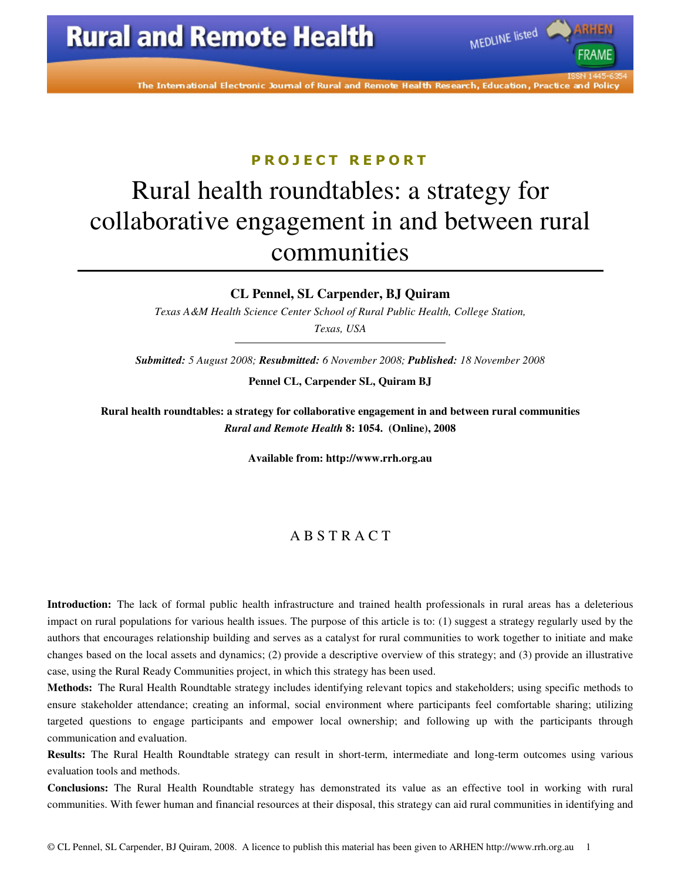The International Electronic Journal of Rural and Remote Health Research, Education, Practice and Policy

MEDLINE listed

### PROJECT REPORT

# Rural health roundtables: a strategy for collaborative engagement in and between rural communities

**CL Pennel, SL Carpender, BJ Quiram** 

*Texas A&M Health Science Center School of Rural Public Health, College Station, Texas, USA* 

*Submitted: 5 August 2008; Resubmitted: 6 November 2008; Published: 18 November 2008* 

**Pennel CL, Carpender SL, Quiram BJ** 

**Rural health roundtables: a strategy for collaborative engagement in and between rural communities**  *Rural and Remote Health* **8: 1054. (Online), 2008** 

**Available from: http://www.rrh.org.au** 

### A B S T R A C T

**Introduction:** The lack of formal public health infrastructure and trained health professionals in rural areas has a deleterious impact on rural populations for various health issues. The purpose of this article is to: (1) suggest a strategy regularly used by the authors that encourages relationship building and serves as a catalyst for rural communities to work together to initiate and make changes based on the local assets and dynamics; (2) provide a descriptive overview of this strategy; and (3) provide an illustrative case, using the Rural Ready Communities project, in which this strategy has been used.

**Methods:** The Rural Health Roundtable strategy includes identifying relevant topics and stakeholders; using specific methods to ensure stakeholder attendance; creating an informal, social environment where participants feel comfortable sharing; utilizing targeted questions to engage participants and empower local ownership; and following up with the participants through communication and evaluation.

**Results:** The Rural Health Roundtable strategy can result in short-term, intermediate and long-term outcomes using various evaluation tools and methods.

**Conclusions:** The Rural Health Roundtable strategy has demonstrated its value as an effective tool in working with rural communities. With fewer human and financial resources at their disposal, this strategy can aid rural communities in identifying and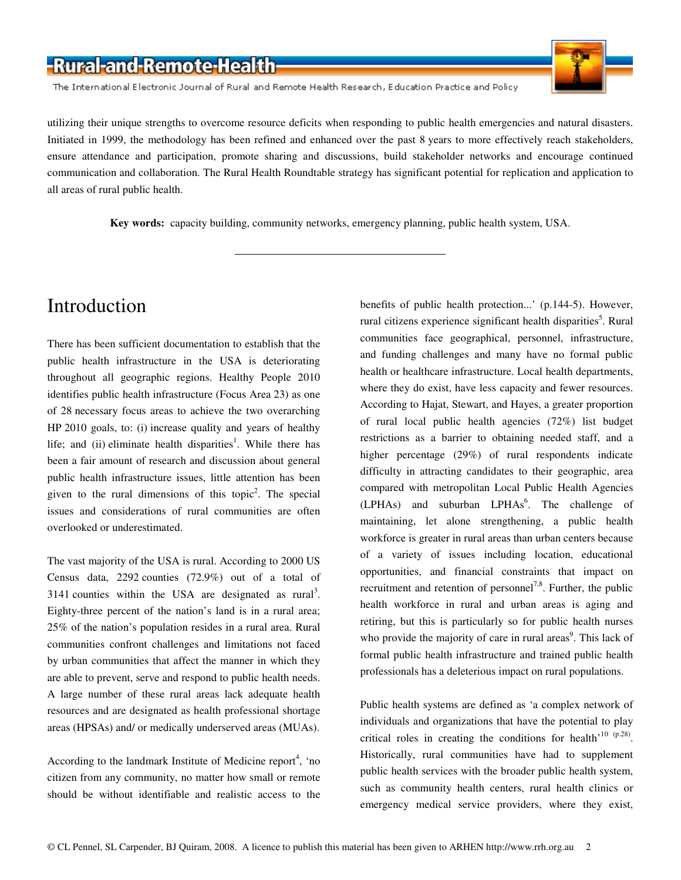The International Electronic Journal of Rural and Remote Health Research, Education Practice and Policy



utilizing their unique strengths to overcome resource deficits when responding to public health emergencies and natural disasters. Initiated in 1999, the methodology has been refined and enhanced over the past 8 years to more effectively reach stakeholders, ensure attendance and participation, promote sharing and discussions, build stakeholder networks and encourage continued communication and collaboration. The Rural Health Roundtable strategy has significant potential for replication and application to all areas of rural public health.

**Key words:** capacity building, community networks, emergency planning, public health system, USA.

### Introduction

There has been sufficient documentation to establish that the public health infrastructure in the USA is deteriorating throughout all geographic regions. Healthy People 2010 identifies public health infrastructure (Focus Area 23) as one of 28 necessary focus areas to achieve the two overarching HP 2010 goals, to: (i) increase quality and years of healthy life; and (ii) eliminate health disparities<sup>1</sup>. While there has been a fair amount of research and discussion about general public health infrastructure issues, little attention has been given to the rural dimensions of this topic<sup>2</sup>. The special issues and considerations of rural communities are often overlooked or underestimated.

The vast majority of the USA is rural. According to 2000 US Census data, 2292 counties (72.9%) out of a total of 3141 counties within the USA are designated as rural<sup>3</sup>. Eighty-three percent of the nation's land is in a rural area; 25% of the nation's population resides in a rural area. Rural communities confront challenges and limitations not faced by urban communities that affect the manner in which they are able to prevent, serve and respond to public health needs. A large number of these rural areas lack adequate health resources and are designated as health professional shortage areas (HPSAs) and/ or medically underserved areas (MUAs).

According to the landmark Institute of Medicine report<sup>4</sup>, 'no citizen from any community, no matter how small or remote should be without identifiable and realistic access to the

benefits of public health protection...' (p.144-5). However, rural citizens experience significant health disparities<sup>5</sup>. Rural communities face geographical, personnel, infrastructure, and funding challenges and many have no formal public health or healthcare infrastructure. Local health departments, where they do exist, have less capacity and fewer resources. According to Hajat, Stewart, and Hayes, a greater proportion of rural local public health agencies (72%) list budget restrictions as a barrier to obtaining needed staff, and a higher percentage (29%) of rural respondents indicate difficulty in attracting candidates to their geographic, area compared with metropolitan Local Public Health Agencies  $(LPHAs)$  and suburban  $LPHAs<sup>6</sup>$ . The challenge of maintaining, let alone strengthening, a public health workforce is greater in rural areas than urban centers because of a variety of issues including location, educational opportunities, and financial constraints that impact on recruitment and retention of personnel<sup>7,8</sup>. Further, the public health workforce in rural and urban areas is aging and retiring, but this is particularly so for public health nurses who provide the majority of care in rural areas<sup>9</sup>. This lack of formal public health infrastructure and trained public health professionals has a deleterious impact on rural populations.

Public health systems are defined as 'a complex network of individuals and organizations that have the potential to play critical roles in creating the conditions for health<sup>'10 (p.28)</sup>. Historically, rural communities have had to supplement public health services with the broader public health system, such as community health centers, rural health clinics or emergency medical service providers, where they exist,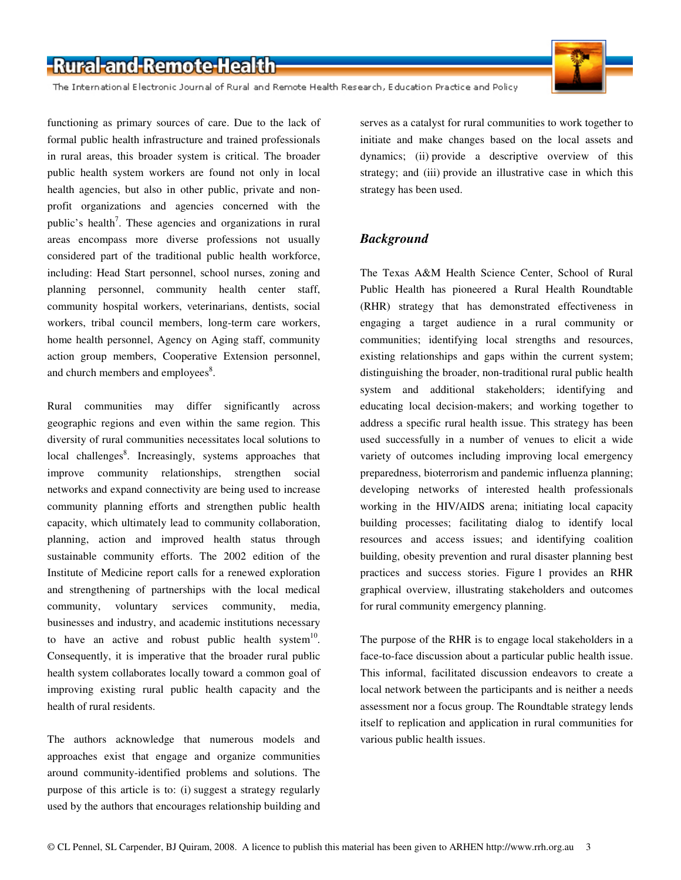The International Electronic Journal of Rural and Remote Health Research, Education Practice and Policy



and church members and employees<sup>8</sup>. Rural communities may differ significantly across geographic regions and even within the same region. This diversity of rural communities necessitates local solutions to local challenges<sup>8</sup>. Increasingly, systems approaches that improve community relationships, strengthen social networks and expand connectivity are being used to increase community planning efforts and strengthen public health capacity, which ultimately lead to community collaboration, planning, action and improved health status through sustainable community efforts. The 2002 edition of the Institute of Medicine report calls for a renewed exploration and strengthening of partnerships with the local medical community, voluntary services community, media, businesses and industry, and academic institutions necessary to have an active and robust public health system $10$ . Consequently, it is imperative that the broader rural public health system collaborates locally toward a common goal of improving existing rural public health capacity and the

The authors acknowledge that numerous models and approaches exist that engage and organize communities around community-identified problems and solutions. The purpose of this article is to: (i) suggest a strategy regularly used by the authors that encourages relationship building and

health of rural residents.

serves as a catalyst for rural communities to work together to initiate and make changes based on the local assets and dynamics; (ii) provide a descriptive overview of this strategy; and (iii) provide an illustrative case in which this strategy has been used.

### *Background*

The Texas A&M Health Science Center, School of Rural Public Health has pioneered a Rural Health Roundtable (RHR) strategy that has demonstrated effectiveness in engaging a target audience in a rural community or communities; identifying local strengths and resources, existing relationships and gaps within the current system; distinguishing the broader, non-traditional rural public health system and additional stakeholders; identifying and educating local decision-makers; and working together to address a specific rural health issue. This strategy has been used successfully in a number of venues to elicit a wide variety of outcomes including improving local emergency preparedness, bioterrorism and pandemic influenza planning; developing networks of interested health professionals working in the HIV/AIDS arena; initiating local capacity building processes; facilitating dialog to identify local resources and access issues; and identifying coalition building, obesity prevention and rural disaster planning best practices and success stories. Figure 1 provides an RHR graphical overview, illustrating stakeholders and outcomes for rural community emergency planning.

The purpose of the RHR is to engage local stakeholders in a face-to-face discussion about a particular public health issue. This informal, facilitated discussion endeavors to create a local network between the participants and is neither a needs assessment nor a focus group. The Roundtable strategy lends itself to replication and application in rural communities for various public health issues.

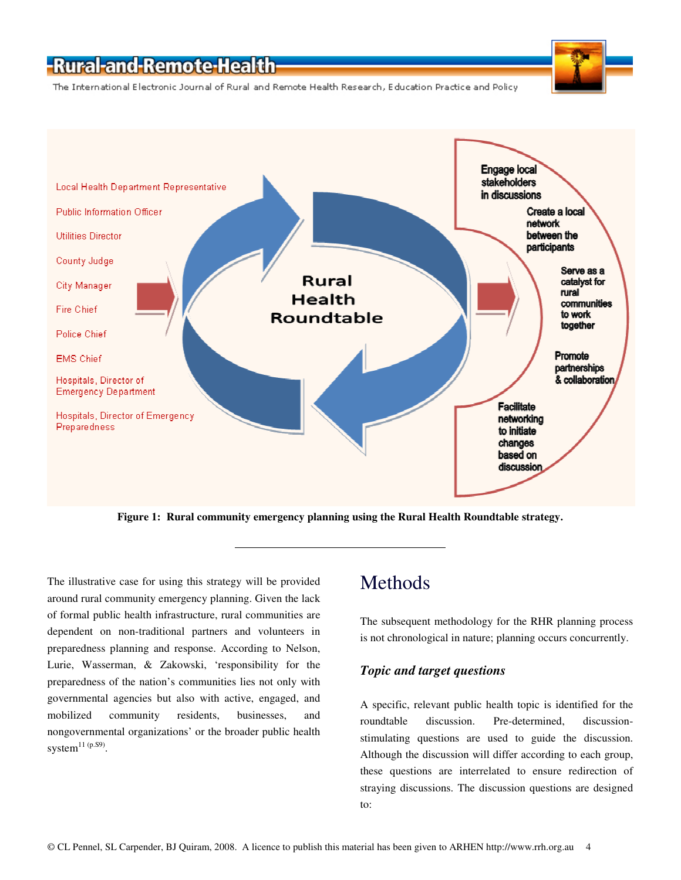The International Electronic Journal of Rural and Remote Health Research, Education Practice and Policy



**Figure 1: Rural community emergency planning using the Rural Health Roundtable strategy.** 

The illustrative case for using this strategy will be provided around rural community emergency planning. Given the lack of formal public health infrastructure, rural communities are dependent on non-traditional partners and volunteers in preparedness planning and response. According to Nelson, Lurie, Wasserman, & Zakowski, 'responsibility for the preparedness of the nation's communities lies not only with governmental agencies but also with active, engaged, and mobilized community residents, businesses, and nongovernmental organizations' or the broader public health system $^{11}$  (p.S9).

### Methods

The subsequent methodology for the RHR planning process is not chronological in nature; planning occurs concurrently.

#### *Topic and target questions*

A specific, relevant public health topic is identified for the roundtable discussion. Pre-determined, discussionstimulating questions are used to guide the discussion. Although the discussion will differ according to each group, these questions are interrelated to ensure redirection of straying discussions. The discussion questions are designed to: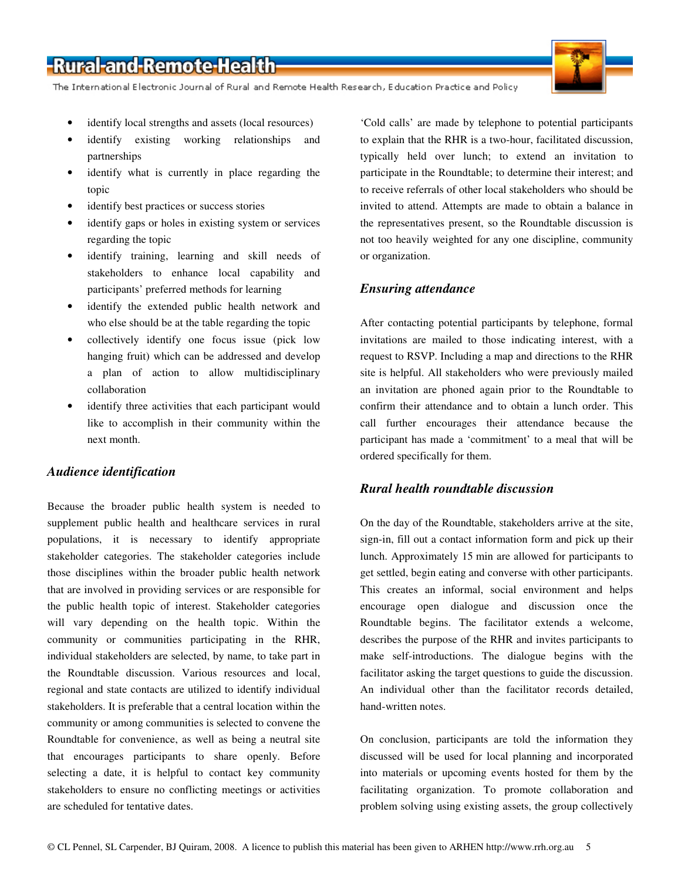The International Electronic Journal of Rural and Remote Health Research, Education Practice and Policy

- identify local strengths and assets (local resources)
- identify existing working relationships and partnerships
- identify what is currently in place regarding the topic
- identify best practices or success stories
- identify gaps or holes in existing system or services regarding the topic
- identify training, learning and skill needs of stakeholders to enhance local capability and participants' preferred methods for learning
- identify the extended public health network and who else should be at the table regarding the topic
- collectively identify one focus issue (pick low hanging fruit) which can be addressed and develop a plan of action to allow multidisciplinary collaboration
- identify three activities that each participant would like to accomplish in their community within the next month.

### *Audience identification*

Because the broader public health system is needed to supplement public health and healthcare services in rural populations, it is necessary to identify appropriate stakeholder categories. The stakeholder categories include those disciplines within the broader public health network that are involved in providing services or are responsible for the public health topic of interest. Stakeholder categories will vary depending on the health topic. Within the community or communities participating in the RHR, individual stakeholders are selected, by name, to take part in the Roundtable discussion. Various resources and local, regional and state contacts are utilized to identify individual stakeholders. It is preferable that a central location within the community or among communities is selected to convene the Roundtable for convenience, as well as being a neutral site that encourages participants to share openly. Before selecting a date, it is helpful to contact key community stakeholders to ensure no conflicting meetings or activities are scheduled for tentative dates.

'Cold calls' are made by telephone to potential participants to explain that the RHR is a two-hour, facilitated discussion, typically held over lunch; to extend an invitation to participate in the Roundtable; to determine their interest; and to receive referrals of other local stakeholders who should be invited to attend. Attempts are made to obtain a balance in the representatives present, so the Roundtable discussion is not too heavily weighted for any one discipline, community or organization.

### *Ensuring attendance*

After contacting potential participants by telephone, formal invitations are mailed to those indicating interest, with a request to RSVP. Including a map and directions to the RHR site is helpful. All stakeholders who were previously mailed an invitation are phoned again prior to the Roundtable to confirm their attendance and to obtain a lunch order. This call further encourages their attendance because the participant has made a 'commitment' to a meal that will be ordered specifically for them.

### *Rural health roundtable discussion*

On the day of the Roundtable, stakeholders arrive at the site, sign-in, fill out a contact information form and pick up their lunch. Approximately 15 min are allowed for participants to get settled, begin eating and converse with other participants. This creates an informal, social environment and helps encourage open dialogue and discussion once the Roundtable begins. The facilitator extends a welcome, describes the purpose of the RHR and invites participants to make self-introductions. The dialogue begins with the facilitator asking the target questions to guide the discussion. An individual other than the facilitator records detailed, hand-written notes.

On conclusion, participants are told the information they discussed will be used for local planning and incorporated into materials or upcoming events hosted for them by the facilitating organization. To promote collaboration and problem solving using existing assets, the group collectively

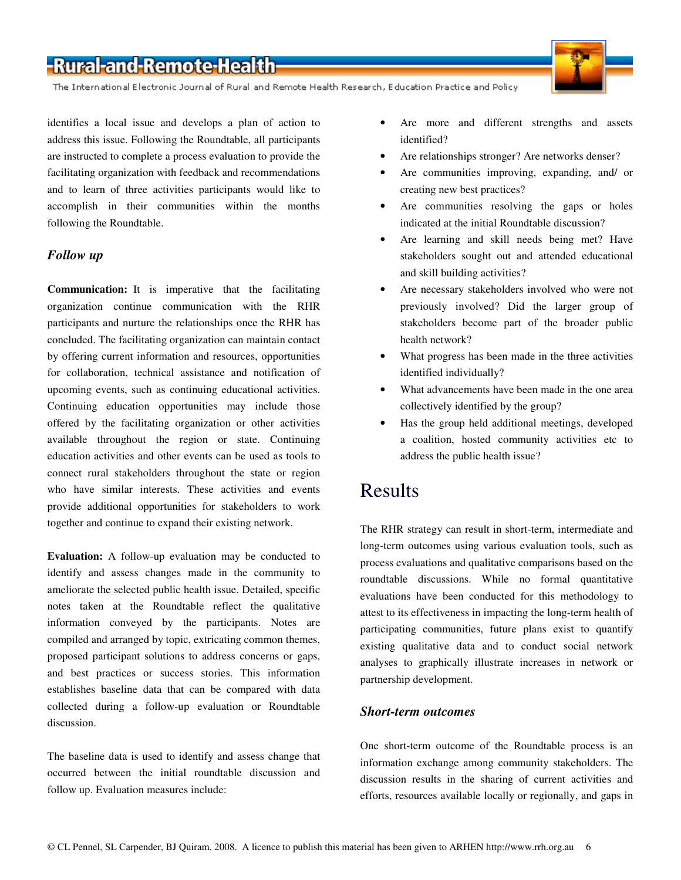The International Electronic Journal of Rural and Remote Health Research, Education Practice and Policy

identifies a local issue and develops a plan of action to address this issue. Following the Roundtable, all participants are instructed to complete a process evaluation to provide the facilitating organization with feedback and recommendations and to learn of three activities participants would like to accomplish in their communities within the months following the Roundtable.

### *Follow up*

**Communication:** It is imperative that the facilitating organization continue communication with the RHR participants and nurture the relationships once the RHR has concluded. The facilitating organization can maintain contact by offering current information and resources, opportunities for collaboration, technical assistance and notification of upcoming events, such as continuing educational activities. Continuing education opportunities may include those offered by the facilitating organization or other activities available throughout the region or state. Continuing education activities and other events can be used as tools to connect rural stakeholders throughout the state or region who have similar interests. These activities and events provide additional opportunities for stakeholders to work together and continue to expand their existing network.

**Evaluation:** A follow-up evaluation may be conducted to identify and assess changes made in the community to ameliorate the selected public health issue. Detailed, specific notes taken at the Roundtable reflect the qualitative information conveyed by the participants. Notes are compiled and arranged by topic, extricating common themes, proposed participant solutions to address concerns or gaps, and best practices or success stories. This information establishes baseline data that can be compared with data collected during a follow-up evaluation or Roundtable discussion.

The baseline data is used to identify and assess change that occurred between the initial roundtable discussion and follow up. Evaluation measures include:

- Are more and different strengths and assets identified?
- Are relationships stronger? Are networks denser?
- Are communities improving, expanding, and/ or creating new best practices?
- Are communities resolving the gaps or holes indicated at the initial Roundtable discussion?
- Are learning and skill needs being met? Have stakeholders sought out and attended educational and skill building activities?
- Are necessary stakeholders involved who were not previously involved? Did the larger group of stakeholders become part of the broader public health network?
- What progress has been made in the three activities identified individually?
- What advancements have been made in the one area collectively identified by the group?
- Has the group held additional meetings, developed a coalition, hosted community activities etc to address the public health issue?

### Results

The RHR strategy can result in short-term, intermediate and long-term outcomes using various evaluation tools, such as process evaluations and qualitative comparisons based on the roundtable discussions. While no formal quantitative evaluations have been conducted for this methodology to attest to its effectiveness in impacting the long-term health of participating communities, future plans exist to quantify existing qualitative data and to conduct social network analyses to graphically illustrate increases in network or partnership development.

#### *Short-term outcomes*

One short-term outcome of the Roundtable process is an information exchange among community stakeholders. The discussion results in the sharing of current activities and efforts, resources available locally or regionally, and gaps in

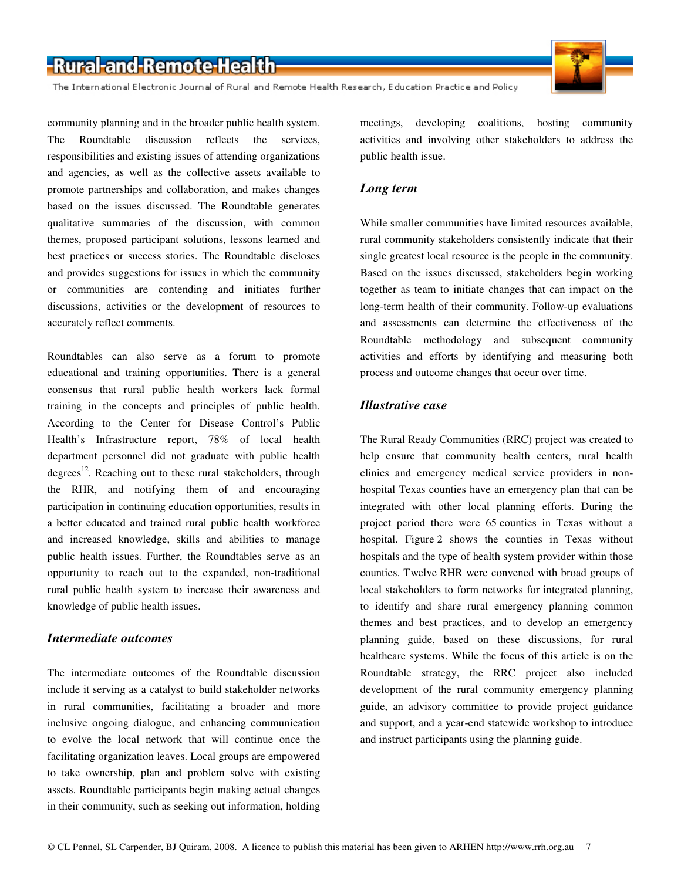The International Electronic Journal of Rural and Remote Health Research, Education Practice and Policy



community planning and in the broader public health system. The Roundtable discussion reflects the services, responsibilities and existing issues of attending organizations and agencies, as well as the collective assets available to promote partnerships and collaboration, and makes changes based on the issues discussed. The Roundtable generates qualitative summaries of the discussion, with common themes, proposed participant solutions, lessons learned and best practices or success stories. The Roundtable discloses and provides suggestions for issues in which the community or communities are contending and initiates further discussions, activities or the development of resources to accurately reflect comments.

Roundtables can also serve as a forum to promote educational and training opportunities. There is a general consensus that rural public health workers lack formal training in the concepts and principles of public health. According to the Center for Disease Control's Public Health's Infrastructure report, 78% of local health department personnel did not graduate with public health degrees<sup>12</sup>. Reaching out to these rural stakeholders, through the RHR, and notifying them of and encouraging participation in continuing education opportunities, results in a better educated and trained rural public health workforce and increased knowledge, skills and abilities to manage public health issues. Further, the Roundtables serve as an opportunity to reach out to the expanded, non-traditional rural public health system to increase their awareness and knowledge of public health issues.

### *Intermediate outcomes*

The intermediate outcomes of the Roundtable discussion include it serving as a catalyst to build stakeholder networks in rural communities, facilitating a broader and more inclusive ongoing dialogue, and enhancing communication to evolve the local network that will continue once the facilitating organization leaves. Local groups are empowered to take ownership, plan and problem solve with existing assets. Roundtable participants begin making actual changes in their community, such as seeking out information, holding meetings, developing coalitions, hosting community activities and involving other stakeholders to address the public health issue.

### *Long term*

While smaller communities have limited resources available, rural community stakeholders consistently indicate that their single greatest local resource is the people in the community. Based on the issues discussed, stakeholders begin working together as team to initiate changes that can impact on the long-term health of their community. Follow-up evaluations and assessments can determine the effectiveness of the Roundtable methodology and subsequent community activities and efforts by identifying and measuring both process and outcome changes that occur over time.

### *Illustrative case*

The Rural Ready Communities (RRC) project was created to help ensure that community health centers, rural health clinics and emergency medical service providers in nonhospital Texas counties have an emergency plan that can be integrated with other local planning efforts. During the project period there were 65 counties in Texas without a hospital. Figure 2 shows the counties in Texas without hospitals and the type of health system provider within those counties. Twelve RHR were convened with broad groups of local stakeholders to form networks for integrated planning, to identify and share rural emergency planning common themes and best practices, and to develop an emergency planning guide, based on these discussions, for rural healthcare systems. While the focus of this article is on the Roundtable strategy, the RRC project also included development of the rural community emergency planning guide, an advisory committee to provide project guidance and support, and a year-end statewide workshop to introduce and instruct participants using the planning guide.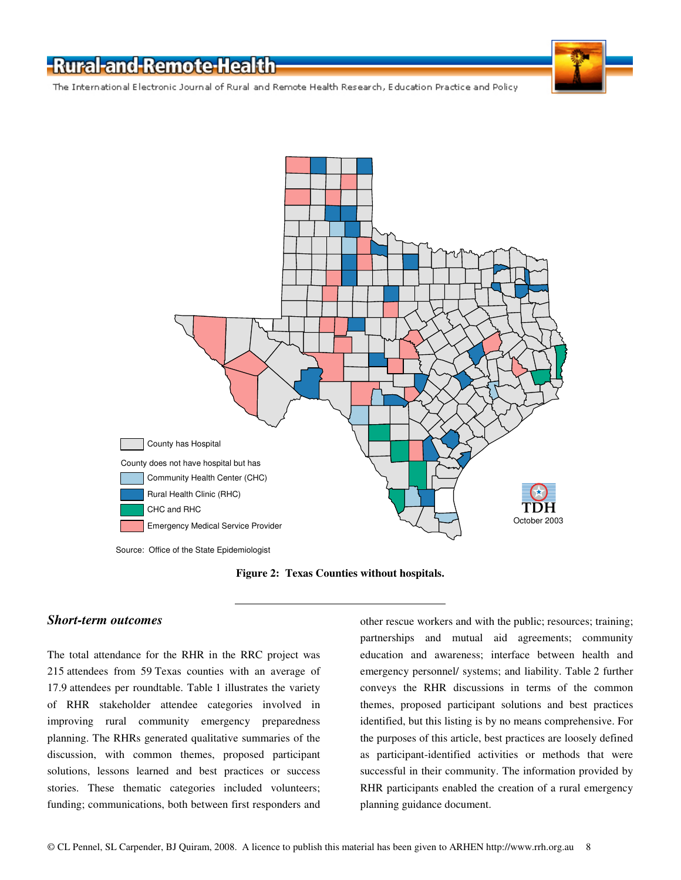The International Electronic Journal of Rural and Remote Health Research, Education Practice and Policy



Source: Office of the State Epidemiologist

**Figure 2: Texas Counties without hospitals.** 

#### *Short-term outcomes*

The total attendance for the RHR in the RRC project was 215 attendees from 59 Texas counties with an average of 17.9 attendees per roundtable. Table 1 illustrates the variety of RHR stakeholder attendee categories involved in improving rural community emergency preparedness planning. The RHRs generated qualitative summaries of the discussion, with common themes, proposed participant solutions, lessons learned and best practices or success stories. These thematic categories included volunteers; funding; communications, both between first responders and

other rescue workers and with the public; resources; training; partnerships and mutual aid agreements; community education and awareness; interface between health and emergency personnel/ systems; and liability. Table 2 further conveys the RHR discussions in terms of the common themes, proposed participant solutions and best practices identified, but this listing is by no means comprehensive. For the purposes of this article, best practices are loosely defined as participant-identified activities or methods that were successful in their community. The information provided by RHR participants enabled the creation of a rural emergency planning guidance document.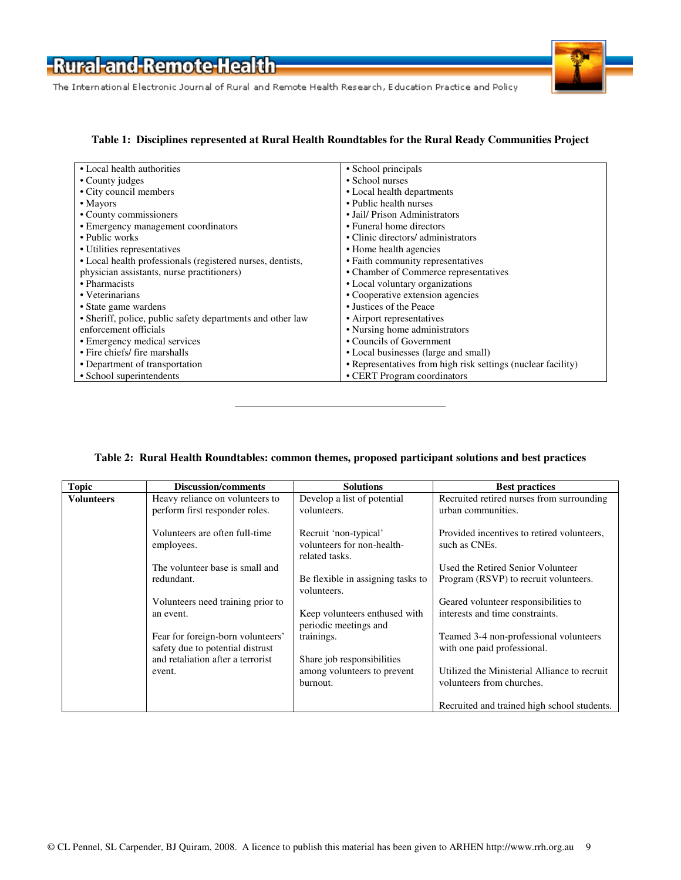The International Electronic Journal of Rural and Remote Health Research, Education Practice and Policy

#### **Table 1: Disciplines represented at Rural Health Roundtables for the Rural Ready Communities Project**

| • Local health authorities                                 | • School principals                                          |
|------------------------------------------------------------|--------------------------------------------------------------|
| • County judges                                            | • School nurses                                              |
| • City council members                                     | • Local health departments                                   |
| $\bullet$ Mayors                                           | • Public health nurses                                       |
| • County commissioners                                     | • Jail/ Prison Administrators                                |
| • Emergency management coordinators                        | • Funeral home directors                                     |
| • Public works                                             | • Clinic directors/administrators                            |
| • Utilities representatives                                | • Home health agencies                                       |
| • Local health professionals (registered nurses, dentists, | • Faith community representatives                            |
| physician assistants, nurse practitioners)                 | • Chamber of Commerce representatives                        |
| • Pharmacists                                              | • Local voluntary organizations                              |
| • Veterinarians                                            | • Cooperative extension agencies                             |
| • State game wardens                                       | • Justices of the Peace                                      |
| • Sheriff, police, public safety departments and other law | • Airport representatives                                    |
| enforcement officials                                      | • Nursing home administrators                                |
| • Emergency medical services                               | • Councils of Government                                     |
| • Fire chiefs/ fire marshalls                              | • Local businesses (large and small)                         |
| • Department of transportation                             | • Representatives from high risk settings (nuclear facility) |
| • School superintendents                                   | • CERT Program coordinators                                  |

### **Table 2: Rural Health Roundtables: common themes, proposed participant solutions and best practices**

| <b>Topic</b> | <b>Discussion/comments</b>                                            | <b>Solutions</b>                                       | <b>Best practices</b>                                                 |
|--------------|-----------------------------------------------------------------------|--------------------------------------------------------|-----------------------------------------------------------------------|
| Volunteers   | Heavy reliance on volunteers to                                       | Develop a list of potential                            | Recruited retired nurses from surrounding                             |
|              | perform first responder roles.                                        | volunteers.                                            | urban communities.                                                    |
|              | Volunteers are often full-time                                        | Recruit 'non-typical'                                  | Provided incentives to retired volunteers.                            |
|              | employees.                                                            | volunteers for non-health-<br>related tasks.           | such as CNEs.                                                         |
|              | The volunteer base is small and                                       |                                                        | Used the Retired Senior Volunteer                                     |
|              | redundant.                                                            | Be flexible in assigning tasks to<br>volunteers.       | Program (RSVP) to recruit volunteers.                                 |
|              | Volunteers need training prior to                                     |                                                        | Geared volunteer responsibilities to                                  |
|              | an event.                                                             | Keep volunteers enthused with<br>periodic meetings and | interests and time constraints.                                       |
|              | Fear for foreign-born volunteers'<br>safety due to potential distrust | trainings.                                             | Teamed 3-4 non-professional volunteers<br>with one paid professional. |
|              | and retaliation after a terrorist                                     | Share job responsibilities                             |                                                                       |
|              | event.                                                                | among volunteers to prevent                            | Utilized the Ministerial Alliance to recruit                          |
|              |                                                                       | burnout.                                               | volunteers from churches.                                             |
|              |                                                                       |                                                        | Recruited and trained high school students.                           |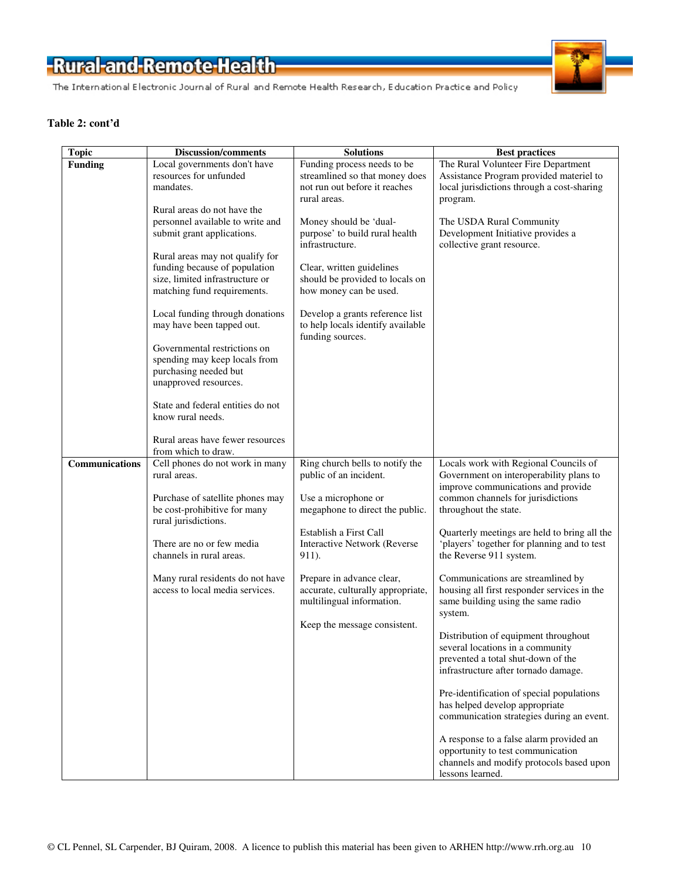

#### **Table 2: cont'd**

| <b>Topic</b>   | <b>Discussion/comments</b>                             | <b>Solutions</b>                  | <b>Best practices</b>                        |
|----------------|--------------------------------------------------------|-----------------------------------|----------------------------------------------|
| <b>Funding</b> | Local governments don't have                           | Funding process needs to be       | The Rural Volunteer Fire Department          |
|                | resources for unfunded                                 | streamlined so that money does    | Assistance Program provided materiel to      |
|                | mandates.                                              | not run out before it reaches     | local jurisdictions through a cost-sharing   |
|                |                                                        | rural areas.                      | program.                                     |
|                | Rural areas do not have the                            |                                   |                                              |
|                | personnel available to write and                       | Money should be 'dual-            | The USDA Rural Community                     |
|                | submit grant applications.                             | purpose' to build rural health    | Development Initiative provides a            |
|                |                                                        | infrastructure.                   | collective grant resource.                   |
|                | Rural areas may not qualify for                        |                                   |                                              |
|                | funding because of population                          | Clear, written guidelines         |                                              |
|                | size, limited infrastructure or                        | should be provided to locals on   |                                              |
|                | matching fund requirements.                            | how money can be used.            |                                              |
|                | Local funding through donations                        | Develop a grants reference list   |                                              |
|                | may have been tapped out.                              | to help locals identify available |                                              |
|                |                                                        | funding sources.                  |                                              |
|                | Governmental restrictions on                           |                                   |                                              |
|                | spending may keep locals from                          |                                   |                                              |
|                | purchasing needed but                                  |                                   |                                              |
|                | unapproved resources.                                  |                                   |                                              |
|                |                                                        |                                   |                                              |
|                | State and federal entities do not                      |                                   |                                              |
|                | know rural needs.                                      |                                   |                                              |
|                |                                                        |                                   |                                              |
|                | Rural areas have fewer resources                       |                                   |                                              |
| Communications | from which to draw.<br>Cell phones do not work in many | Ring church bells to notify the   | Locals work with Regional Councils of        |
|                | rural areas.                                           | public of an incident.            | Government on interoperability plans to      |
|                |                                                        |                                   | improve communications and provide           |
|                | Purchase of satellite phones may                       | Use a microphone or               | common channels for jurisdictions            |
|                | be cost-prohibitive for many                           | megaphone to direct the public.   | throughout the state.                        |
|                | rural jurisdictions.                                   |                                   |                                              |
|                |                                                        | Establish a First Call            | Quarterly meetings are held to bring all the |
|                | There are no or few media                              | Interactive Network (Reverse      | 'players' together for planning and to test  |
|                | channels in rural areas.                               | 911).                             | the Reverse 911 system.                      |
|                |                                                        |                                   |                                              |
|                | Many rural residents do not have                       | Prepare in advance clear,         | Communications are streamlined by            |
|                | access to local media services.                        | accurate, culturally appropriate, | housing all first responder services in the  |
|                |                                                        | multilingual information.         | same building using the same radio           |
|                |                                                        | Keep the message consistent.      | system.                                      |
|                |                                                        |                                   | Distribution of equipment throughout         |
|                |                                                        |                                   | several locations in a community             |
|                |                                                        |                                   | prevented a total shut-down of the           |
|                |                                                        |                                   | infrastructure after tornado damage.         |
|                |                                                        |                                   |                                              |
|                |                                                        |                                   | Pre-identification of special populations    |
|                |                                                        |                                   | has helped develop appropriate               |
|                |                                                        |                                   | communication strategies during an event.    |
|                |                                                        |                                   | A response to a false alarm provided an      |
|                |                                                        |                                   | opportunity to test communication            |
|                |                                                        |                                   | channels and modify protocols based upon     |
|                |                                                        |                                   | lessons learned.                             |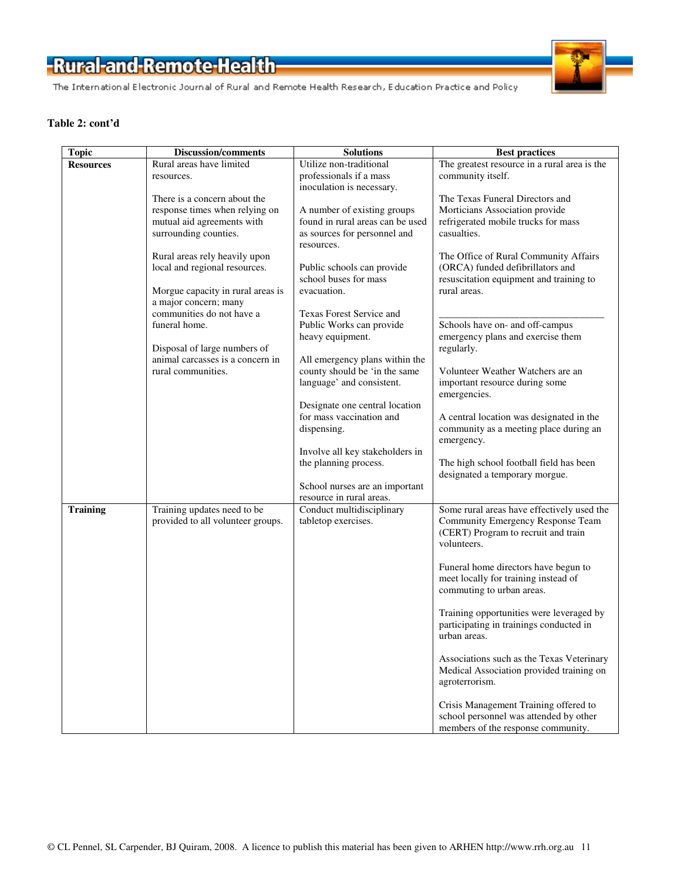The International Electronic Journal of Rural and Remote Health Research, Education Practice and Policy

#### **Table 2: cont'd**

| <b>Topic</b>     | <b>Discussion/comments</b>        | <b>Solutions</b>                 | <b>Best practices</b>                        |
|------------------|-----------------------------------|----------------------------------|----------------------------------------------|
| <b>Resources</b> | Rural areas have limited          | Utilize non-traditional          | The greatest resource in a rural area is the |
|                  | resources.                        | professionals if a mass          | community itself.                            |
|                  |                                   | inoculation is necessary.        |                                              |
|                  | There is a concern about the      |                                  | The Texas Funeral Directors and              |
|                  | response times when relying on    | A number of existing groups      | Morticians Association provide               |
|                  | mutual aid agreements with        | found in rural areas can be used | refrigerated mobile trucks for mass          |
|                  | surrounding counties.             | as sources for personnel and     | casualties.                                  |
|                  |                                   | resources.                       |                                              |
|                  | Rural areas rely heavily upon     |                                  | The Office of Rural Community Affairs        |
|                  | local and regional resources.     | Public schools can provide       | (ORCA) funded defibrillators and             |
|                  |                                   | school buses for mass            | resuscitation equipment and training to      |
|                  | Morgue capacity in rural areas is | evacuation.                      | rural areas.                                 |
|                  | a major concern; many             |                                  |                                              |
|                  | communities do not have a         | Texas Forest Service and         |                                              |
|                  | funeral home.                     | Public Works can provide         | Schools have on- and off-campus              |
|                  |                                   | heavy equipment.                 | emergency plans and exercise them            |
|                  | Disposal of large numbers of      |                                  | regularly.                                   |
|                  | animal carcasses is a concern in  | All emergency plans within the   |                                              |
|                  | rural communities.                | county should be 'in the same    | Volunteer Weather Watchers are an            |
|                  |                                   | language' and consistent.        | important resource during some               |
|                  |                                   |                                  | emergencies.                                 |
|                  |                                   | Designate one central location   |                                              |
|                  |                                   | for mass vaccination and         | A central location was designated in the     |
|                  |                                   | dispensing.                      | community as a meeting place during an       |
|                  |                                   |                                  | emergency.                                   |
|                  |                                   | Involve all key stakeholders in  |                                              |
|                  |                                   | the planning process.            | The high school football field has been      |
|                  |                                   |                                  | designated a temporary morgue.               |
|                  |                                   | School nurses are an important   |                                              |
|                  |                                   | resource in rural areas.         |                                              |
| <b>Training</b>  | Training updates need to be       | Conduct multidisciplinary        | Some rural areas have effectively used the   |
|                  | provided to all volunteer groups. | tabletop exercises.              | Community Emergency Response Team            |
|                  |                                   |                                  | (CERT) Program to recruit and train          |
|                  |                                   |                                  | volunteers.                                  |
|                  |                                   |                                  |                                              |
|                  |                                   |                                  | Funeral home directors have begun to         |
|                  |                                   |                                  | meet locally for training instead of         |
|                  |                                   |                                  | commuting to urban areas.                    |
|                  |                                   |                                  |                                              |
|                  |                                   |                                  | Training opportunities were leveraged by     |
|                  |                                   |                                  | participating in trainings conducted in      |
|                  |                                   |                                  | urban areas.                                 |
|                  |                                   |                                  | Associations such as the Texas Veterinary    |
|                  |                                   |                                  | Medical Association provided training on     |
|                  |                                   |                                  | agroterrorism.                               |
|                  |                                   |                                  |                                              |
|                  |                                   |                                  | Crisis Management Training offered to        |
|                  |                                   |                                  | school personnel was attended by other       |
|                  |                                   |                                  | members of the response community.           |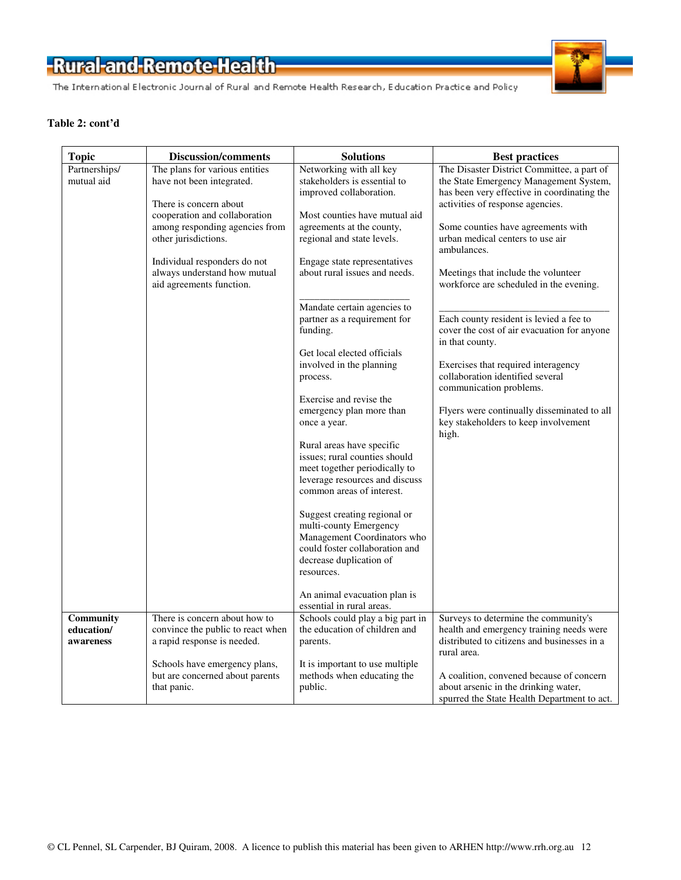The International Electronic Journal of Rural and Remote Health Research, Education Practice and Policy



#### **Table 2: cont'd**

| <b>Topic</b>                         | <b>Discussion/comments</b>                                                                                                                                                                                                                                                   | <b>Solutions</b>                                                                                                                                                                                                                                                                                                                                                                                                                                                                                                                                                                                                                                                                                                                                                                                           | <b>Best practices</b>                                                                                                                                                                                                                                                                                                                                                                                                                                                                                                                                                                                                                                                 |
|--------------------------------------|------------------------------------------------------------------------------------------------------------------------------------------------------------------------------------------------------------------------------------------------------------------------------|------------------------------------------------------------------------------------------------------------------------------------------------------------------------------------------------------------------------------------------------------------------------------------------------------------------------------------------------------------------------------------------------------------------------------------------------------------------------------------------------------------------------------------------------------------------------------------------------------------------------------------------------------------------------------------------------------------------------------------------------------------------------------------------------------------|-----------------------------------------------------------------------------------------------------------------------------------------------------------------------------------------------------------------------------------------------------------------------------------------------------------------------------------------------------------------------------------------------------------------------------------------------------------------------------------------------------------------------------------------------------------------------------------------------------------------------------------------------------------------------|
| Partnerships/<br>mutual aid          | The plans for various entities<br>have not been integrated.<br>There is concern about<br>cooperation and collaboration<br>among responding agencies from<br>other jurisdictions.<br>Individual responders do not<br>always understand how mutual<br>aid agreements function. | Networking with all key<br>stakeholders is essential to<br>improved collaboration.<br>Most counties have mutual aid<br>agreements at the county,<br>regional and state levels.<br>Engage state representatives<br>about rural issues and needs.<br>Mandate certain agencies to<br>partner as a requirement for<br>funding.<br>Get local elected officials<br>involved in the planning<br>process.<br>Exercise and revise the<br>emergency plan more than<br>once a year.<br>Rural areas have specific<br>issues; rural counties should<br>meet together periodically to<br>leverage resources and discuss<br>common areas of interest.<br>Suggest creating regional or<br>multi-county Emergency<br>Management Coordinators who<br>could foster collaboration and<br>decrease duplication of<br>resources. | The Disaster District Committee, a part of<br>the State Emergency Management System,<br>has been very effective in coordinating the<br>activities of response agencies.<br>Some counties have agreements with<br>urban medical centers to use air<br>ambulances.<br>Meetings that include the volunteer<br>workforce are scheduled in the evening.<br>Each county resident is levied a fee to<br>cover the cost of air evacuation for anyone<br>in that county.<br>Exercises that required interagency<br>collaboration identified several<br>communication problems.<br>Flyers were continually disseminated to all<br>key stakeholders to keep involvement<br>high. |
|                                      |                                                                                                                                                                                                                                                                              | An animal evacuation plan is<br>essential in rural areas.                                                                                                                                                                                                                                                                                                                                                                                                                                                                                                                                                                                                                                                                                                                                                  |                                                                                                                                                                                                                                                                                                                                                                                                                                                                                                                                                                                                                                                                       |
| Community<br>education/<br>awareness | There is concern about how to<br>convince the public to react when<br>a rapid response is needed.<br>Schools have emergency plans,                                                                                                                                           | Schools could play a big part in<br>the education of children and<br>parents.<br>It is important to use multiple.                                                                                                                                                                                                                                                                                                                                                                                                                                                                                                                                                                                                                                                                                          | Surveys to determine the community's<br>health and emergency training needs were<br>distributed to citizens and businesses in a<br>rural area.                                                                                                                                                                                                                                                                                                                                                                                                                                                                                                                        |
|                                      | but are concerned about parents<br>that panic.                                                                                                                                                                                                                               | methods when educating the<br>public.                                                                                                                                                                                                                                                                                                                                                                                                                                                                                                                                                                                                                                                                                                                                                                      | A coalition, convened because of concern<br>about arsenic in the drinking water,<br>spurred the State Health Department to act.                                                                                                                                                                                                                                                                                                                                                                                                                                                                                                                                       |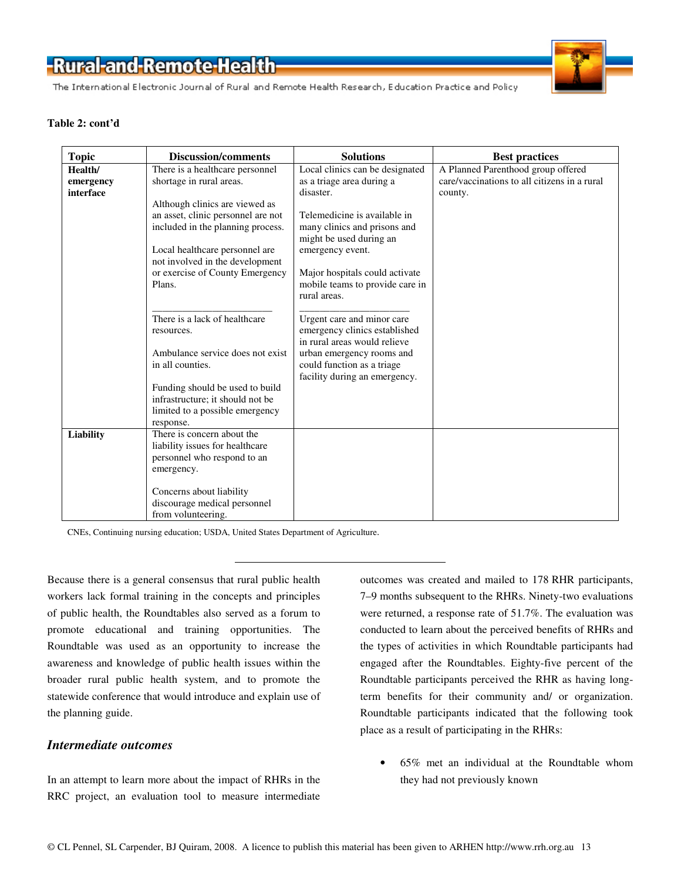The International Electronic Journal of Rural and Remote Health Research, Education Practice and Policy



#### **Table 2: cont'd**

| <b>Topic</b> | <b>Discussion/comments</b>         | <b>Solutions</b>                | <b>Best practices</b>                        |
|--------------|------------------------------------|---------------------------------|----------------------------------------------|
| Health/      | There is a healthcare personnel    | Local clinics can be designated | A Planned Parenthood group offered           |
| emergency    | shortage in rural areas.           | as a triage area during a       | care/vaccinations to all citizens in a rural |
| interface    |                                    | disaster.                       | county.                                      |
|              | Although clinics are viewed as     |                                 |                                              |
|              | an asset, clinic personnel are not | Telemedicine is available in    |                                              |
|              | included in the planning process.  | many clinics and prisons and    |                                              |
|              |                                    | might be used during an         |                                              |
|              | Local healthcare personnel are     | emergency event.                |                                              |
|              | not involved in the development    |                                 |                                              |
|              | or exercise of County Emergency    | Major hospitals could activate  |                                              |
|              | Plans.                             | mobile teams to provide care in |                                              |
|              |                                    | rural areas.                    |                                              |
|              | There is a lack of healthcare      | Urgent care and minor care      |                                              |
|              |                                    | emergency clinics established   |                                              |
|              | resources.                         | in rural areas would relieve    |                                              |
|              | Ambulance service does not exist   | urban emergency rooms and       |                                              |
|              | in all counties.                   | could function as a triage      |                                              |
|              |                                    | facility during an emergency.   |                                              |
|              | Funding should be used to build    |                                 |                                              |
|              | infrastructure; it should not be   |                                 |                                              |
|              | limited to a possible emergency    |                                 |                                              |
|              | response.                          |                                 |                                              |
| Liability    | There is concern about the         |                                 |                                              |
|              | liability issues for healthcare    |                                 |                                              |
|              | personnel who respond to an        |                                 |                                              |
|              | emergency.                         |                                 |                                              |
|              |                                    |                                 |                                              |
|              | Concerns about liability           |                                 |                                              |
|              | discourage medical personnel       |                                 |                                              |
|              | from volunteering.                 |                                 |                                              |

CNEs, Continuing nursing education; USDA, United States Department of Agriculture.

Because there is a general consensus that rural public health workers lack formal training in the concepts and principles of public health, the Roundtables also served as a forum to promote educational and training opportunities. The Roundtable was used as an opportunity to increase the awareness and knowledge of public health issues within the broader rural public health system, and to promote the statewide conference that would introduce and explain use of the planning guide.

### *Intermediate outcomes*

In an attempt to learn more about the impact of RHRs in the RRC project, an evaluation tool to measure intermediate

outcomes was created and mailed to 178 RHR participants, 7–9 months subsequent to the RHRs. Ninety-two evaluations were returned, a response rate of 51.7%. The evaluation was conducted to learn about the perceived benefits of RHRs and the types of activities in which Roundtable participants had engaged after the Roundtables. Eighty-five percent of the Roundtable participants perceived the RHR as having longterm benefits for their community and/ or organization. Roundtable participants indicated that the following took place as a result of participating in the RHRs:

• 65% met an individual at the Roundtable whom they had not previously known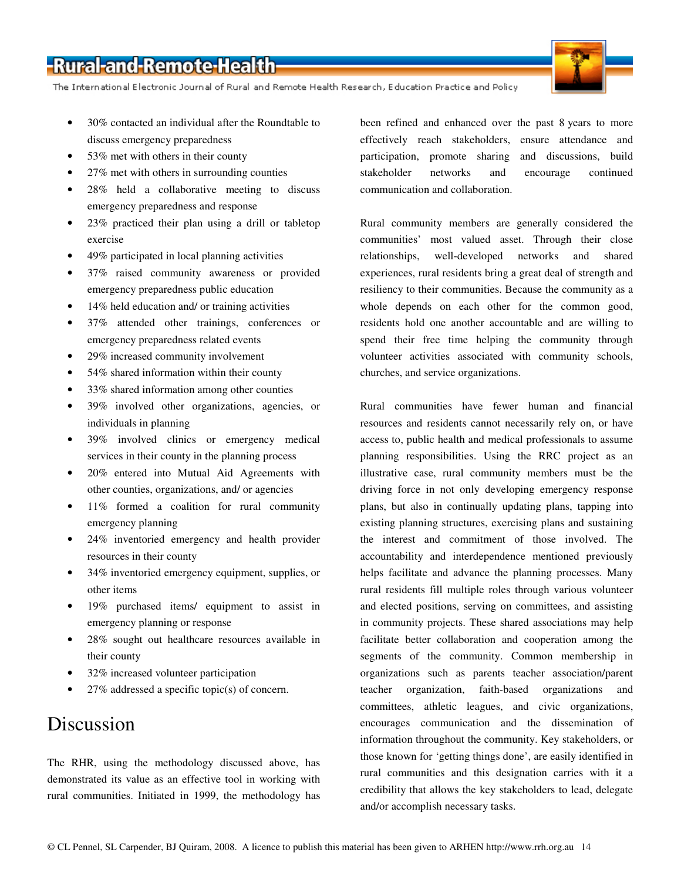The International Electronic Journal of Rural and Remote Health Research, Education Practice and Policy

- 30% contacted an individual after the Roundtable to discuss emergency preparedness
- 53% met with others in their county
- 27% met with others in surrounding counties
- 28% held a collaborative meeting to discuss emergency preparedness and response
- 23% practiced their plan using a drill or tabletop exercise
- 49% participated in local planning activities
- 37% raised community awareness or provided emergency preparedness public education
- 14% held education and/ or training activities
- 37% attended other trainings, conferences or emergency preparedness related events
- 29% increased community involvement
- 54% shared information within their county
- 33% shared information among other counties
- 39% involved other organizations, agencies, or individuals in planning
- 39% involved clinics or emergency medical services in their county in the planning process
- 20% entered into Mutual Aid Agreements with other counties, organizations, and/ or agencies
- 11% formed a coalition for rural community emergency planning
- 24% inventoried emergency and health provider resources in their county
- 34% inventoried emergency equipment, supplies, or other items
- 19% purchased items/ equipment to assist in emergency planning or response
- 28% sought out healthcare resources available in their county
- 32% increased volunteer participation
- $27\%$  addressed a specific topic(s) of concern.

### Discussion

The RHR, using the methodology discussed above, has demonstrated its value as an effective tool in working with rural communities. Initiated in 1999, the methodology has

been refined and enhanced over the past 8 years to more effectively reach stakeholders, ensure attendance and participation, promote sharing and discussions, build stakeholder networks and encourage continued communication and collaboration.

Rural community members are generally considered the communities' most valued asset. Through their close relationships, well-developed networks and shared experiences, rural residents bring a great deal of strength and resiliency to their communities. Because the community as a whole depends on each other for the common good, residents hold one another accountable and are willing to spend their free time helping the community through volunteer activities associated with community schools, churches, and service organizations.

Rural communities have fewer human and financial resources and residents cannot necessarily rely on, or have access to, public health and medical professionals to assume planning responsibilities. Using the RRC project as an illustrative case, rural community members must be the driving force in not only developing emergency response plans, but also in continually updating plans, tapping into existing planning structures, exercising plans and sustaining the interest and commitment of those involved. The accountability and interdependence mentioned previously helps facilitate and advance the planning processes. Many rural residents fill multiple roles through various volunteer and elected positions, serving on committees, and assisting in community projects. These shared associations may help facilitate better collaboration and cooperation among the segments of the community. Common membership in organizations such as parents teacher association/parent teacher organization, faith-based organizations and committees, athletic leagues, and civic organizations, encourages communication and the dissemination of information throughout the community. Key stakeholders, or those known for 'getting things done', are easily identified in rural communities and this designation carries with it a credibility that allows the key stakeholders to lead, delegate and/or accomplish necessary tasks.

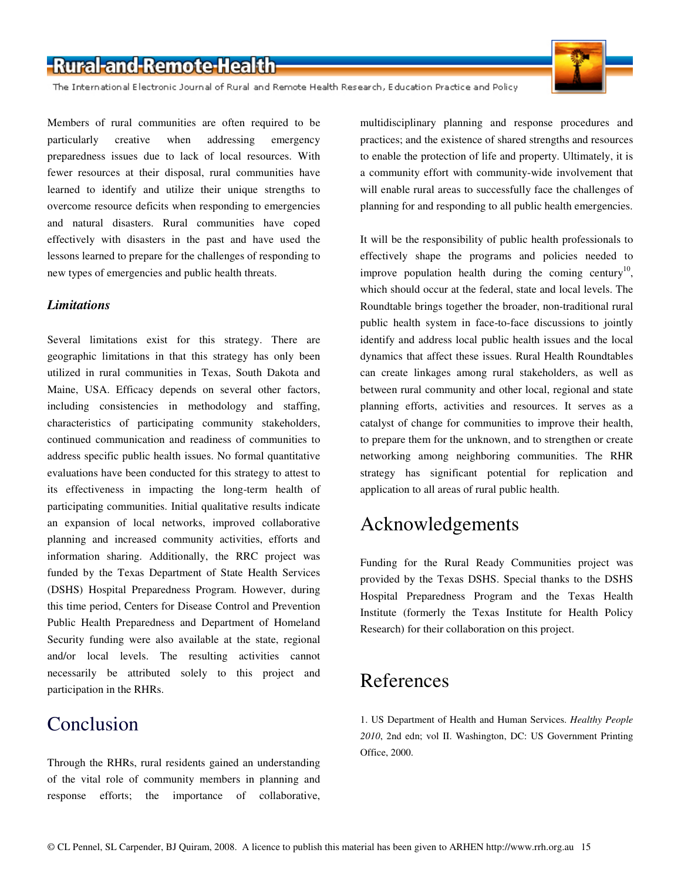The International Electronic Journal of Rural and Remote Health Research, Education Practice and Policy

Members of rural communities are often required to be particularly creative when addressing emergency preparedness issues due to lack of local resources. With fewer resources at their disposal, rural communities have learned to identify and utilize their unique strengths to overcome resource deficits when responding to emergencies and natural disasters. Rural communities have coped effectively with disasters in the past and have used the lessons learned to prepare for the challenges of responding to new types of emergencies and public health threats.

### *Limitations*

Several limitations exist for this strategy. There are geographic limitations in that this strategy has only been utilized in rural communities in Texas, South Dakota and Maine, USA. Efficacy depends on several other factors, including consistencies in methodology and staffing, characteristics of participating community stakeholders, continued communication and readiness of communities to address specific public health issues. No formal quantitative evaluations have been conducted for this strategy to attest to its effectiveness in impacting the long-term health of participating communities. Initial qualitative results indicate an expansion of local networks, improved collaborative planning and increased community activities, efforts and information sharing. Additionally, the RRC project was funded by the Texas Department of State Health Services (DSHS) Hospital Preparedness Program. However, during this time period, Centers for Disease Control and Prevention Public Health Preparedness and Department of Homeland Security funding were also available at the state, regional and/or local levels. The resulting activities cannot necessarily be attributed solely to this project and participation in the RHRs.

### Conclusion

Through the RHRs, rural residents gained an understanding of the vital role of community members in planning and response efforts; the importance of collaborative,

multidisciplinary planning and response procedures and practices; and the existence of shared strengths and resources to enable the protection of life and property. Ultimately, it is a community effort with community-wide involvement that will enable rural areas to successfully face the challenges of planning for and responding to all public health emergencies.

It will be the responsibility of public health professionals to effectively shape the programs and policies needed to improve population health during the coming century<sup>10</sup>, which should occur at the federal, state and local levels. The Roundtable brings together the broader, non-traditional rural public health system in face-to-face discussions to jointly identify and address local public health issues and the local dynamics that affect these issues. Rural Health Roundtables can create linkages among rural stakeholders, as well as between rural community and other local, regional and state planning efforts, activities and resources. It serves as a catalyst of change for communities to improve their health, to prepare them for the unknown, and to strengthen or create networking among neighboring communities. The RHR strategy has significant potential for replication and application to all areas of rural public health.

### Acknowledgements

Funding for the Rural Ready Communities project was provided by the Texas DSHS. Special thanks to the DSHS Hospital Preparedness Program and the Texas Health Institute (formerly the Texas Institute for Health Policy Research) for their collaboration on this project.

### References

1. US Department of Health and Human Services. *Healthy People 2010*, 2nd edn; vol II. Washington, DC: US Government Printing Office, 2000.